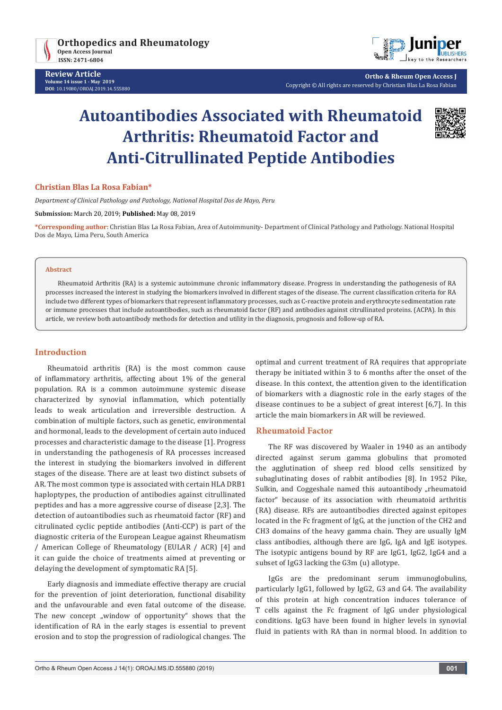



**Ortho & Rheum Open Access J** Copyright © All rights are reserved by Christian Blas La Rosa Fabian

# **Autoantibodies Associated with Rheumatoid Arthritis: Rheumatoid Factor and Anti-Citrullinated Peptide Antibodies**



#### **Christian Blas La Rosa Fabian\***

*Department of Clinical Pathology and Pathology, National Hospital Dos de Mayo, Peru*

#### **Submission:** March 20, 2019; **Published:** May 08, 2019

**\*Corresponding author:** Christian Blas La Rosa Fabian, Area of Autoimmunity- Department of Clinical Pathology and Pathology. National Hospital Dos de Mayo, Lima Peru, South America

#### **Abstract**

Rheumatoid Arthritis (RA) is a systemic autoimmune chronic inflammatory disease. Progress in understanding the pathogenesis of RA processes increased the interest in studying the biomarkers involved in different stages of the disease. The current classification criteria for RA include two different types of biomarkers that represent inflammatory processes, such as C-reactive protein and erythrocyte sedimentation rate or immune processes that include autoantibodies, such as rheumatoid factor (RF) and antibodies against citrullinated proteins. (ACPA). In this article, we review both autoantibody methods for detection and utility in the diagnosis, prognosis and follow-up of RA.

#### **Introduction**

Rheumatoid arthritis (RA) is the most common cause of inflammatory arthritis, affecting about 1% of the general population. RA is a common autoimmune systemic disease characterized by synovial inflammation, which potentially leads to weak articulation and irreversible destruction. A combination of multiple factors, such as genetic, environmental and hormonal, leads to the development of certain auto induced processes and characteristic damage to the disease [1]. Progress in understanding the pathogenesis of RA processes increased the interest in studying the biomarkers involved in different stages of the disease. There are at least two distinct subsets of AR. The most common type is associated with certain HLA DRB1 haploptypes, the production of antibodies against citrullinated peptides and has a more aggressive course of disease [2,3]. The detection of autoantibodies such as rheumatoid factor (RF) and citrulinated cyclic peptide antibodies (Anti-CCP) is part of the diagnostic criteria of the European League against Rheumatism / American College of Rheumatology (EULAR / ACR) [4] and it can guide the choice of treatments aimed at preventing or delaying the development of symptomatic RA [5].

Early diagnosis and immediate effective therapy are crucial for the prevention of joint deterioration, functional disability and the unfavourable and even fatal outcome of the disease. The new concept "window of opportunity" shows that the identification of RA in the early stages is essential to prevent erosion and to stop the progression of radiological changes. The

optimal and current treatment of RA requires that appropriate therapy be initiated within 3 to 6 months after the onset of the disease. In this context, the attention given to the identification of biomarkers with a diagnostic role in the early stages of the disease continues to be a subject of great interest [6,7]. In this article the main biomarkers in AR will be reviewed.

## **Rheumatoid Factor**

The RF was discovered by Waaler in 1940 as an antibody directed against serum gamma globulins that promoted the agglutination of sheep red blood cells sensitized by subaglutinating doses of rabbit antibodies [8]. In 1952 Pike, Sulkin, and Coggeshale named this autoantibody "rheumatoid factor" because of its association with rheumatoid arthritis (RA) disease. RFs are autoantibodies directed against epitopes located in the Fc fragment of IgG, at the junction of the CH2 and CH3 domains of the heavy gamma chain. They are usually IgM class antibodies, although there are IgG, IgA and IgE isotypes. The isotypic antigens bound by RF are IgG1, IgG2, IgG4 and a subset of IgG3 lacking the G3m (u) allotype.

IgGs are the predominant serum immunoglobulins, particularly IgG1, followed by IgG2, G3 and G4. The availability of this protein at high concentration induces tolerance of T cells against the Fc fragment of IgG under physiological conditions. IgG3 have been found in higher levels in synovial fluid in patients with RA than in normal blood. In addition to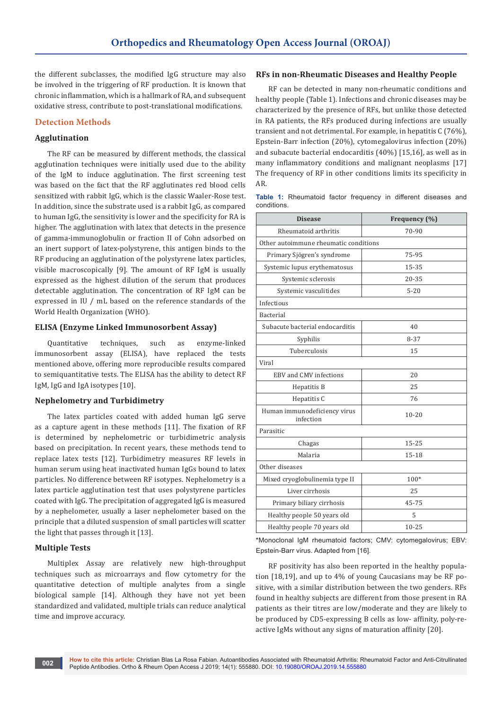the different subclasses, the modified IgG structure may also be involved in the triggering of RF production. It is known that chronic inflammation, which is a hallmark of RA, and subsequent oxidative stress, contribute to post-translational modifications.

# **Detection Methods**

## **Agglutination**

The RF can be measured by different methods, the classical agglutination techniques were initially used due to the ability of the IgM to induce agglutination. The first screening test was based on the fact that the RF agglutinates red blood cells sensitized with rabbit IgG, which is the classic Waaler-Rose test. In addition, since the substrate used is a rabbit IgG, as compared to human IgG, the sensitivity is lower and the specificity for RA is higher. The agglutination with latex that detects in the presence of gamma-immunoglobulin or fraction II of Cohn adsorbed on an inert support of latex-polystyrene, this antigen binds to the RF producing an agglutination of the polystyrene latex particles, visible macroscopically [9]. The amount of RF IgM is usually expressed as the highest dilution of the serum that produces detectable agglutination. The concentration of RF IgM can be expressed in IU / mL based on the reference standards of the World Health Organization (WHO).

#### **ELISA (Enzyme Linked Immunosorbent Assay)**

Quantitative techniques, such as enzyme-linked immunosorbent assay (ELISA), have replaced the tests mentioned above, offering more reproducible results compared to semiquantitative tests. The ELISA has the ability to detect RF IgM, IgG and IgA isotypes [10].

### **Nephelometry and Turbidimetry**

The latex particles coated with added human IgG serve as a capture agent in these methods [11]. The fixation of RF is determined by nephelometric or turbidimetric analysis based on precipitation. In recent years, these methods tend to replace latex tests [12]. Turbidimetry measures RF levels in human serum using heat inactivated human IgGs bound to latex particles. No difference between RF isotypes. Nephelometry is a latex particle agglutination test that uses polystyrene particles coated with IgG. The precipitation of aggregated IgG is measured by a nephelometer, usually a laser nephelometer based on the principle that a diluted suspension of small particles will scatter the light that passes through it [13].

## **Multiple Tests**

Multiplex Assay are relatively new high-throughput techniques such as microarrays and flow cytometry for the quantitative detection of multiple analytes from a single biological sample [14]. Although they have not yet been standardized and validated, multiple trials can reduce analytical time and improve accuracy.

#### **RFs in non-Rheumatic Diseases and Healthy People**

RF can be detected in many non-rheumatic conditions and healthy people (Table 1). Infections and chronic diseases may be characterized by the presence of RFs, but unlike those detected in RA patients, the RFs produced during infections are usually transient and not detrimental. For example, in hepatitis C (76%), Epstein-Barr infection (20%), cytomegalovirus infection (20%) and subacute bacterial endocarditis (40%) [15,16], as well as in many inflammatory conditions and malignant neoplasms [17] The frequency of RF in other conditions limits its specificity in AR.

**Table 1:** Rheumatoid factor frequency in different diseases and conditions.

| <b>Disease</b>                            | Frequency (%) |  |
|-------------------------------------------|---------------|--|
| Rheumatoid arthritis                      | 70-90         |  |
| Other autoimmune rheumatic conditions     |               |  |
| Primary Sjögren's syndrome                | 75-95         |  |
| Systemic lupus erythematosus              | 15-35         |  |
| Systemic sclerosis                        | $20 - 35$     |  |
| Systemic vasculitides                     | $5 - 20$      |  |
| Infectious                                |               |  |
| Bacterial                                 |               |  |
| Subacute bacterial endocarditis           | 40            |  |
| Syphilis                                  | $8 - 37$      |  |
| Tuberculosis                              | 15            |  |
| Viral                                     |               |  |
| EBV and CMV infections                    | 20            |  |
| Hepatitis B                               | 25            |  |
| Hepatitis C                               | 76            |  |
| Human immunodeficiency virus<br>infection | $10 - 20$     |  |
| Parasitic                                 |               |  |
| Chagas                                    | $15 - 25$     |  |
| Malaria                                   | 15-18         |  |
| Other diseases                            |               |  |
| Mixed cryoglobulinemia type II            | 100*          |  |
| Liver cirrhosis                           | 25            |  |
| Primary biliary cirrhosis                 | 45-75         |  |
| Healthy people 50 years old               | 5             |  |
| Healthy people 70 years old               | $10 - 25$     |  |

\*Monoclonal IgM rheumatoid factors; CMV: cytomegalovirus; EBV: Epstein-Barr virus. Adapted from [16].

RF positivity has also been reported in the healthy population [18,19], and up to 4% of young Caucasians may be RF positive, with a similar distribution between the two genders. RFs found in healthy subjects are different from those present in RA patients as their titres are low/moderate and they are likely to be produced by CD5-expressing B cells as low- affinity, poly-reactive IgMs without any signs of maturation affinity [20].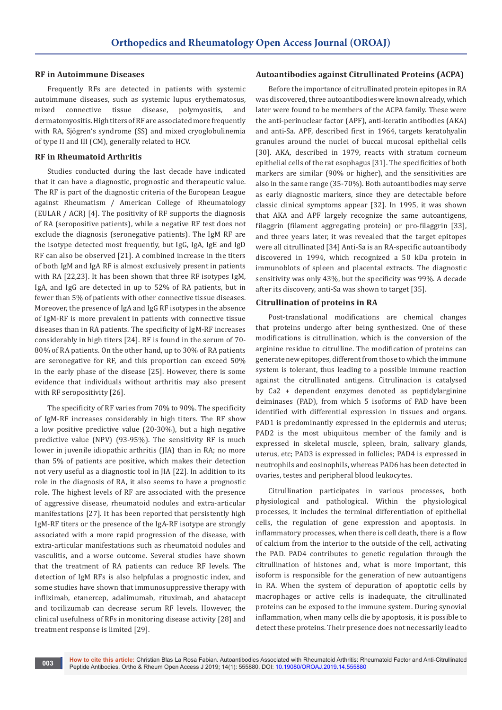#### **RF in Autoimmune Diseases**

Frequently RFs are detected in patients with systemic autoimmune diseases, such as systemic lupus erythematosus, mixed connective tissue disease, polymyositis, and dermatomyositis. High titers of RF are associated more frequently with RA, Sjögren's syndrome (SS) and mixed cryoglobulinemia of type II and III (CM), generally related to HCV.

#### **RF in Rheumatoid Arthritis**

Studies conducted during the last decade have indicated that it can have a diagnostic, prognostic and therapeutic value. The RF is part of the diagnostic criteria of the European League against Rheumatism / American College of Rheumatology (EULAR / ACR) [4]. The positivity of RF supports the diagnosis of RA (seropositive patients), while a negative RF test does not exclude the diagnosis (seronegative patients). The IgM RF are the isotype detected most frequently, but IgG, IgA, IgE and IgD RF can also be observed [21]. A combined increase in the titers of both IgM and IgA RF is almost exclusively present in patients with RA [22,23]. It has been shown that three RF isotypes IgM, IgA, and IgG are detected in up to 52% of RA patients, but in fewer than 5% of patients with other connective tissue diseases. Moreover, the presence of IgA and IgG RF isotypes in the absence of IgM-RF is more prevalent in patients with connective tissue diseases than in RA patients. The specificity of IgM-RF increases considerably in high titers [24]. RF is found in the serum of 70- 80% of RA patients. On the other hand, up to 30% of RA patients are seronegative for RF, and this proportion can exceed 50% in the early phase of the disease [25]. However, there is some evidence that individuals without arthritis may also present with RF seropositivity [26].

The specificity of RF varies from 70% to 90%. The specificity of IgM-RF increases considerably in high titers. The RF show a low positive predictive value (20-30%), but a high negative predictive value (NPV) (93-95%). The sensitivity RF is much lower in juvenile idiopathic arthritis (JIA) than in RA; no more than 5% of patients are positive, which makes their detection not very useful as a diagnostic tool in JIA [22]. In addition to its role in the diagnosis of RA, it also seems to have a prognostic role. The highest levels of RF are associated with the presence of aggressive disease, rheumatoid nodules and extra-articular manifestations [27]. It has been reported that persistently high IgM-RF titers or the presence of the IgA-RF isotype are strongly associated with a more rapid progression of the disease, with extra-articular manifestations such as rheumatoid nodules and vasculitis, and a worse outcome. Several studies have shown that the treatment of RA patients can reduce RF levels. The detection of IgM RFs is also helpfulas a prognostic index, and some studies have shown that immunosuppressive therapy with infliximab, etanercep, adalimumab, rituximab, and abatacept and tocilizumab can decrease serum RF levels. However, the clinical usefulness of RFs in monitoring disease activity [28] and treatment response is limited [29].

#### **Autoantibodies against Citrullinated Proteins (ACPA)**

Before the importance of citrullinated protein epitopes in RA was discovered, three autoantibodies were known already, which later were found to be members of the ACPA family. These were the anti-perinuclear factor (APF), anti-keratin antibodies (AKA) and anti-Sa. APF, described first in 1964, targets keratohyalin granules around the nuclei of buccal mucosal epithelial cells [30]. AKA, described in 1979, reacts with stratum corneum epithelial cells of the rat esophagus [31]. The specificities of both markers are similar (90% or higher), and the sensitivities are also in the same range (35-70%). Both autoantibodies may serve as early diagnostic markers, since they are detectable before classic clinical symptoms appear [32]. In 1995, it was shown that AKA and APF largely recognize the same autoantigens, filaggrin (filament aggregating protein) or pro-filaggrin [33], and three years later, it was revealed that the target epitopes were all citrullinated [34] Anti-Sa is an RA-specific autoantibody discovered in 1994, which recognized a 50 kDa protein in immunoblots of spleen and placental extracts. The diagnostic sensitivity was only 43%, but the specificity was 99%. A decade after its discovery, anti-Sa was shown to target [35].

### **Citrullination of proteins in RA**

Post-translational modifications are chemical changes that proteins undergo after being synthesized. One of these modifications is citrullination, which is the conversion of the arginine residue to citrulline. The modification of proteins can generate new epitopes, different from those to which the immune system is tolerant, thus leading to a possible immune reaction against the citrullinated antigens. Citrulinacion is catalysed by Ca2 + dependent enzymes denoted as peptidylarginine deiminases (PAD), from which 5 isoforms of PAD have been identified with differential expression in tissues and organs. PAD1 is predominantly expressed in the epidermis and uterus; PAD2 is the most ubiquitous member of the family and is expressed in skeletal muscle, spleen, brain, salivary glands, uterus, etc; PAD3 is expressed in follicles; PAD4 is expressed in neutrophils and eosinophils, whereas PAD6 has been detected in ovaries, testes and peripheral blood leukocytes.

Citrullination participates in various processes, both physiological and pathological. Within the physiological processes, it includes the terminal differentiation of epithelial cells, the regulation of gene expression and apoptosis. In inflammatory processes, when there is cell death, there is a flow of calcium from the interior to the outside of the cell, activating the PAD. PAD4 contributes to genetic regulation through the citrullination of histones and, what is more important, this isoform is responsible for the generation of new autoantigens in RA. When the system of depuration of apoptotic cells by macrophages or active cells is inadequate, the citrullinated proteins can be exposed to the immune system. During synovial inflammation, when many cells die by apoptosis, it is possible to detect these proteins. Their presence does not necessarily lead to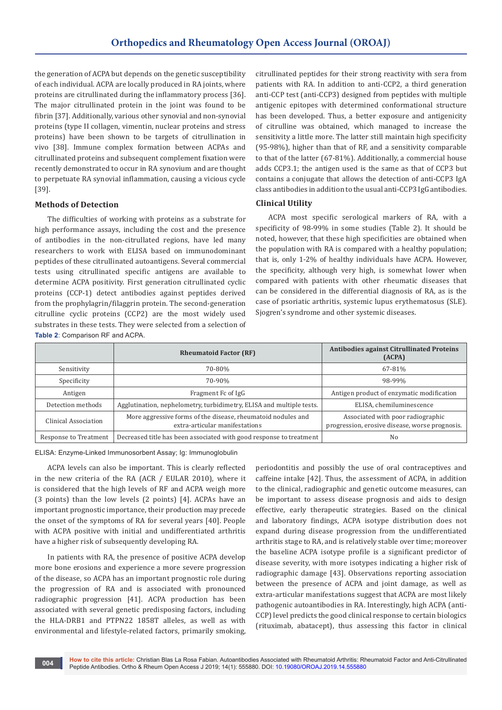the generation of ACPA but depends on the genetic susceptibility of each individual. ACPA are locally produced in RA joints, where proteins are citrullinated during the inflammatory process [36]. The major citrullinated protein in the joint was found to be fibrin [37]. Additionally, various other synovial and non-synovial proteins (type II collagen, vimentin, nuclear proteins and stress proteins) have been shown to be targets of citrullination in vivo [38]. Immune complex formation between ACPAs and citrullinated proteins and subsequent complement fixation were recently demonstrated to occur in RA synovium and are thought to perpetuate RA synovial inflammation, causing a vicious cycle [39].

## **Methods of Detection**

The difficulties of working with proteins as a substrate for high performance assays, including the cost and the presence of antibodies in the non-citrullated regions, have led many researchers to work with ELISA based on immunodominant peptides of these citrullinated autoantigens. Several commercial tests using citrullinated specific antigens are available to determine ACPA positivity. First generation citrullinated cyclic proteins (CCP-1) detect antibodies against peptides derived from the prophylagrin/filaggrin protein. The second-generation citrulline cyclic proteins (CCP2) are the most widely used substrates in these tests. They were selected from a selection of **Table 2**: Comparison RF and ACPA.

citrullinated peptides for their strong reactivity with sera from patients with RA. In addition to anti-CCP2, a third generation anti-CCP test (anti-CCP3) designed from peptides with multiple antigenic epitopes with determined conformational structure has been developed. Thus, a better exposure and antigenicity of citrulline was obtained, which managed to increase the sensitivity a little more. The latter still maintain high specificity (95-98%), higher than that of RF, and a sensitivity comparable to that of the latter (67-81%). Additionally, a commercial house adds CCP3.1; the antigen used is the same as that of CCP3 but contains a conjugate that allows the detection of anti-CCP3 IgA class antibodies in addition to the usual anti-CCP3 IgG antibodies.

## **Clinical Utility**

ACPA most specific serological markers of RA, with a specificity of 98-99% in some studies (Table 2). It should be noted, however, that these high specificities are obtained when the population with RA is compared with a healthy population; that is, only 1-2% of healthy individuals have ACPA. However, the specificity, although very high, is somewhat lower when compared with patients with other rheumatic diseases that can be considered in the differential diagnosis of RA, as is the case of psoriatic arthritis, systemic lupus erythematosus (SLE). Sjogren's syndrome and other systemic diseases.

|                       | <b>Rheumatoid Factor (RF)</b>                                                                  | <b>Antibodies against Citrullinated Proteins</b><br>(ACPA)                          |
|-----------------------|------------------------------------------------------------------------------------------------|-------------------------------------------------------------------------------------|
| Sensitivity           | 70-80%                                                                                         | 67-81%                                                                              |
| Specificity           | 70-90%                                                                                         | 98-99%                                                                              |
| Antigen               | Fragment Fc of IgG                                                                             | Antigen product of enzymatic modification                                           |
| Detection methods     | Agglutination, nephelometry, turbidimetry, ELISA and multiple tests.                           | ELISA, chemiluminescence                                                            |
| Clinical Association  | More aggressive forms of the disease, rheumatoid nodules and<br>extra-articular manifestations | Associated with poor radiographic<br>progression, erosive disease, worse prognosis. |
| Response to Treatment | Decreased title has been associated with good response to treatment                            | No                                                                                  |

ELISA: Enzyme-Linked Immunosorbent Assay; Ig: Immunoglobulin

ACPA levels can also be important. This is clearly reflected in the new criteria of the RA (ACR / EULAR 2010), where it is considered that the high levels of RF and ACPA weigh more (3 points) than the low levels (2 points) [4]. ACPAs have an important prognostic importance, their production may precede the onset of the symptoms of RA for several years [40]. People with ACPA positive with initial and undifferentiated arthritis have a higher risk of subsequently developing RA.

In patients with RA, the presence of positive ACPA develop more bone erosions and experience a more severe progression of the disease, so ACPA has an important prognostic role during the progression of RA and is associated with pronounced radiographic progression [41]. ACPA production has been associated with several genetic predisposing factors, including the HLA-DRB1 and PTPN22 1858T alleles, as well as with environmental and lifestyle-related factors, primarily smoking,

periodontitis and possibly the use of oral contraceptives and caffeine intake [42]. Thus, the assessment of ACPA, in addition to the clinical, radiographic and genetic outcome measures, can be important to assess disease prognosis and aids to design effective, early therapeutic strategies. Based on the clinical and laboratory findings, ACPA isotype distribution does not expand during disease progression from the undifferentiated arthritis stage to RA, and is relatively stable over time; moreover the baseline ACPA isotype profile is a significant predictor of disease severity, with more isotypes indicating a higher risk of radiographic damage [43]. Observations reporting association between the presence of ACPA and joint damage, as well as extra-articular manifestations suggest that ACPA are most likely pathogenic autoantibodies in RA. Interestingly, high ACPA (anti-CCP) level predicts the good clinical response to certain biologics (rituximab, abatacept), thus assessing this factor in clinical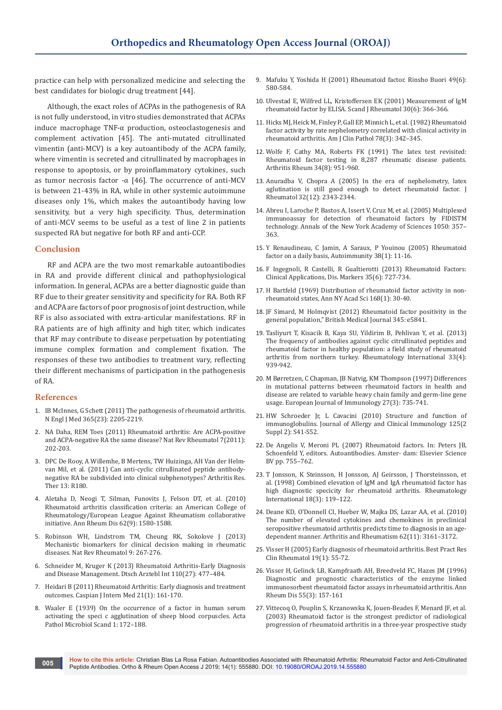practice can help with personalized medicine and selecting the best candidates for biologic drug treatment [44].

Although, the exact roles of ACPAs in the pathogenesis of RA is not fully understood, in vitro studies demonstrated that ACPAs induce macrophage TNF-α production, osteoclastogenesis and complement activation [45]. The anti-mutated citrullinated vimentin (anti-MCV) is a key autoantibody of the ACPA family, where vimentin is secreted and citrullinated by macrophages in response to apoptosis, or by proinflammatory cytokines, such as tumor necrosis factor -α [46]. The occurrence of anti-MCV is between 21-43% in RA, while in other systemic autoimmune diseases only 1%, which makes the autoantibody having low sensitivity, but a very high specificity. Thus, determination of anti-MCV seems to be useful as a test of line 2 in patients suspected RA but negative for both RF and anti-CCP.

#### **Conclusion**

RF and ACPA are the two most remarkable autoantibodies in RA and provide different clinical and pathophysiological information. In general, ACPAs are a better diagnostic guide than RF due to their greater sensitivity and specificity for RA. Both RF and ACPA are factors of poor prognosis of joint destruction, while RF is also associated with extra-articular manifestations. RF in RA patients are of high affinity and high titer, which indicates that RF may contribute to disease perpetuation by potentiating immune complex formation and complement fixation. The responses of these two antibodies to treatment vary, reflecting their different mechanisms of participation in the pathogenesis of RA.

#### **References**

- 1. [IB McInnes, G Schett \(2011\) The pathogenesis of rheumatoid arthritis.](https://www.ncbi.nlm.nih.gov/pubmed/22150039)  [N Engl J Med 365\(23\): 2205-2219.](https://www.ncbi.nlm.nih.gov/pubmed/22150039)
- 2. [NA Daha, REM Toes \(2011\) Rheumatoid arthritis: Are ACPA-positive](https://www.ncbi.nlm.nih.gov/pubmed/21455249)  [and ACPA-negative RA the same disease? Nat Rev Rheumatol 7\(2011\):](https://www.ncbi.nlm.nih.gov/pubmed/21455249)  [202-203.](https://www.ncbi.nlm.nih.gov/pubmed/21455249)
- 3. [DPC De Rooy, A Willemhe, B Mertens, TW Huizinga, AH Van der Helm](https://arthritis-research.biomedcentral.com/articles/10.1186/ar3505)[van Mil, et al. \(2011\) Can anti-cyclic citrullinated peptide antibody](https://arthritis-research.biomedcentral.com/articles/10.1186/ar3505)[negative RA be subdivided into clinical subphenotypes? Arthritis Res.](https://arthritis-research.biomedcentral.com/articles/10.1186/ar3505)  [Ther 13: R180.](https://arthritis-research.biomedcentral.com/articles/10.1186/ar3505)
- 4. [Aletaha D, Neogi T, Silman, Funovits J, Felson DT, et al. \(2010\)](https://www.ncbi.nlm.nih.gov/pubmed/20699241)  [Rheumatoid arthritis classification criteria: an American College of](https://www.ncbi.nlm.nih.gov/pubmed/20699241)  [Rheumatology/European League Against Rheumatism collaborative](https://www.ncbi.nlm.nih.gov/pubmed/20699241)  [initiative. Ann Rheum Dis 62\(9\): 1580-1588.](https://www.ncbi.nlm.nih.gov/pubmed/20699241)
- 5. [Robinson WH, Lindstrom TM, Cheung RK, Sokolove J \(2013\)](https://www.ncbi.nlm.nih.gov/pubmed/23419428)  [Mechanistic biomarkers for clinical decision making in rheumatic](https://www.ncbi.nlm.nih.gov/pubmed/23419428)  [diseases. Nat Rev Rheumatol 9: 267-276.](https://www.ncbi.nlm.nih.gov/pubmed/23419428)
- 6. [Schneider M, Kruger K \(2013\) Rheumatoid Arthritis-Early Diagnosis](https://www.ncbi.nlm.nih.gov/pubmed/23964304)  [and Disease Management. Dtsch Arztebl Int 110\(27\): 477–484.](https://www.ncbi.nlm.nih.gov/pubmed/23964304)
- 7. [Heidari B \(2011\) Rheumatoid Arthritis: Early diagnosis and treatment](https://www.ncbi.nlm.nih.gov/pubmed/24024009)  [outcomes. Caspian J Intern Med 21\(1\): 161-170.](https://www.ncbi.nlm.nih.gov/pubmed/24024009)
- 8. [Waaler E \(1939\) On the occurrence of a factor in human serum](https://www.ncbi.nlm.nih.gov/pubmed/17504400)  [activating the speci c agglutination of sheep blood corpuscles. Acta](https://www.ncbi.nlm.nih.gov/pubmed/17504400)  [Pathol Microbiol Scand 1: 172–188.](https://www.ncbi.nlm.nih.gov/pubmed/17504400)
- 9. Mafuku Y, Yoshida H (2001) Rheumatoid factor. Rinsho Buori 49(6): 580-584.
- 10. [Ulvestad E, Wilfred LL, Kristoffersen EK \(2001\) Measurement of IgM](https://www.ncbi.nlm.nih.gov/pubmed/11846058)  [rheumatoid factor by ELISA. Scand J Rheumatol 30\(6\): 366-366.](https://www.ncbi.nlm.nih.gov/pubmed/11846058)
- 11. [Hicks MJ, Heick M, Finley P, Gall EP, Minnich L, et al. \(1982\) Rheumatoid](https://www.ncbi.nlm.nih.gov/pubmed/7113971)  [factor activity by rate nephelometry correlated with clinical activity in](https://www.ncbi.nlm.nih.gov/pubmed/7113971)  [rheumatoid arthritis. Am J Clin Pathol 78\(3\): 342–345.](https://www.ncbi.nlm.nih.gov/pubmed/7113971)
- 12. [Wolfe F, Cathy MA, Roberts FK \(1991\) The latex test revisited:](https://www.ncbi.nlm.nih.gov/pubmed/1859489)  [Rheumatoid factor testing in 8,287 rheumatic disease patients.](https://www.ncbi.nlm.nih.gov/pubmed/1859489)  [Arthritis Rheum 34\(8\): 951-960.](https://www.ncbi.nlm.nih.gov/pubmed/1859489)
- 13. [Anuradba V, Chopra A \(2005\) In the era of nephelometry, latex](https://www.ncbi.nlm.nih.gov/pubmed/16331760)  [aglutination is still good enough to detect rheumatoid factor. J](https://www.ncbi.nlm.nih.gov/pubmed/16331760)  [Rheumatol 32\(12\): 2343-2344.](https://www.ncbi.nlm.nih.gov/pubmed/16331760)
- 14. [Abreu I, Laroche P, Bastos A, Issert V, Cruz M, et al. \(2005\) Multiplexed](https://www.ncbi.nlm.nih.gov/pubmed/16014552)  [immunoassay for detection of rheumatoid factors by FIDISTM](https://www.ncbi.nlm.nih.gov/pubmed/16014552)  [technology. Annals of the New York Academy of Sciences 1050: 357–](https://www.ncbi.nlm.nih.gov/pubmed/16014552) [363.](https://www.ncbi.nlm.nih.gov/pubmed/16014552)
- 15. [Y Renaudineau, C Jamin, A Saraux, P Youinou \(2005\) Rheumatoid](https://www.ncbi.nlm.nih.gov/pubmed/15804700)  [factor on a daily basis, Autoimmunity 38\(1\): 11-16.](https://www.ncbi.nlm.nih.gov/pubmed/15804700)
- 16. [F Ingegnoli, R Castelli, R Gualtierotti \(2013\) Rheumatoid Factors:](https://www.hindawi.com/journals/dm/2013/726598/)  [Clinical Applications, Dis. Markers 35\(6\): 727-734.](https://www.hindawi.com/journals/dm/2013/726598/)
- 17. [H Bartfeld \(1969\) Distribution of rheumatoid factor activity in non](https://www.ncbi.nlm.nih.gov/pubmed/4987688)[rheumatoid states, Ann NY Acad Sci 168\(1\): 30-40.](https://www.ncbi.nlm.nih.gov/pubmed/4987688)
- 18. [JF Simard, M Holmqvist \(2012\) Rheumatoid factor positivity in the](https://www.ncbi.nlm.nih.gov/pubmed/22956591)  [general population," British Medical Journal 345: e5841.](https://www.ncbi.nlm.nih.gov/pubmed/22956591)
- 19. [Tasliyurt T, Kisacik B, Kaya SU, Yildirim B, Pehlivan Y, et al. \(2013\)](https://www.ncbi.nlm.nih.gov/pubmed/22829412)  [The frequency of antibodies against cyclic citrullinated peptides and](https://www.ncbi.nlm.nih.gov/pubmed/22829412)  [rheumatoid factor in healthy population: a field study of rheumatoid](https://www.ncbi.nlm.nih.gov/pubmed/22829412)  [arthritis from northern turkey. Rheumatology International 33\(4\):](https://www.ncbi.nlm.nih.gov/pubmed/22829412)  [939-942.](https://www.ncbi.nlm.nih.gov/pubmed/22829412)
- 20. [M Børretzen, C Chapman, JB Natvig, KM Thompson \(1997\) Differences](https://www.ncbi.nlm.nih.gov/pubmed/9079816)  [in mutational patterns between rheumatoid factors in health and](https://www.ncbi.nlm.nih.gov/pubmed/9079816)  [disease are related to variable heavy chain family and germ-line gene](https://www.ncbi.nlm.nih.gov/pubmed/9079816)  [usage. European Journal of Immunology 27\(3\): 735-741.](https://www.ncbi.nlm.nih.gov/pubmed/9079816)
- 21. [HW Schroeder Jr, L Cavacini \(2010\) Structure and function of](https://www.ncbi.nlm.nih.gov/pubmed/20176268)  [immunoglobulins. Journal of Allergy and Clinical Immunology 125\(2](https://www.ncbi.nlm.nih.gov/pubmed/20176268)  [Suppl 2\): S41-S52.](https://www.ncbi.nlm.nih.gov/pubmed/20176268)
- 22. De Angelis V, Meroni PL (2007) Rheumatoid factors. In: Peters JB, Schoenfeld Y, editors. Autoantibodies. Amster- dam: Elsevier Science BV pp. 755–762.
- 23. [T Jonsson, K Steinsson, H Jonsson, AJ Geirsson, J Thorsteinsson, et](https://www.ncbi.nlm.nih.gov/pubmed/9833253)  [al. \(1998\) Combined elevation of IgM and IgA rheumatoid factor has](https://www.ncbi.nlm.nih.gov/pubmed/9833253)  [high diagnostic specicity for rheumatoid arthritis. Rheumatology](https://www.ncbi.nlm.nih.gov/pubmed/9833253)  [International 18\(3\): 119–122.](https://www.ncbi.nlm.nih.gov/pubmed/9833253)
- 24. [Deane KD, O'Donnell CI, Hueber W, Majka DS, Lazar AA, et al. \(2010\)](https://www.ncbi.nlm.nih.gov/pubmed/20597112)  [The number of elevated cytokines and chemokines in preclinical](https://www.ncbi.nlm.nih.gov/pubmed/20597112)  [seropositive rheumatoid arthritis predicts time to diagnosis in an age](https://www.ncbi.nlm.nih.gov/pubmed/20597112)[dependent manner. Arthritis and Rheumatism 62\(11\): 3161–3172.](https://www.ncbi.nlm.nih.gov/pubmed/20597112)
- 25. [Visser H \(2005\) Early diagnosis of rheumatoid arthritis. Best Pract Res](https://www.ncbi.nlm.nih.gov/pubmed/15588971)  [Clin Rheumatol 19\(1\): 55-72.](https://www.ncbi.nlm.nih.gov/pubmed/15588971)
- 26. [Visser H, Gelinck LB, Kampfraath AH, Breedveld FC, Hazes JM \(1996\)](https://www.ncbi.nlm.nih.gov/pubmed/8712877)  [Diagnostic and prognostic characteristics of the enzyme linked](https://www.ncbi.nlm.nih.gov/pubmed/8712877)  [immunosorbent rheumatoid factor assays in rheumatoid arthritis. Ann](https://www.ncbi.nlm.nih.gov/pubmed/8712877)  [Rheum Dis 55\(3\): 157-161](https://www.ncbi.nlm.nih.gov/pubmed/8712877)
- 27. [Vittecoq O, Pouplin S, Krzanowska K, Jouen-Beades F, Menard JF, et al.](https://www.ncbi.nlm.nih.gov/pubmed/12730503)  [\(2003\) Rheumatoid factor is the strongest predictor of radiological](https://www.ncbi.nlm.nih.gov/pubmed/12730503)  [progression of rheumatoid arthritis in a three-year prospective study](https://www.ncbi.nlm.nih.gov/pubmed/12730503)

**How to cite this article:** Christian Blas La Rosa Fabian. Autoantibodies Associated with Rheumatoid Arthritis: Rheumatoid Factor and Anti-Citrullinated Peptide Antibodies. Ortho & Rheum Open Access J 2019; 14(1): 555880. DOI: [10.19080/OROAJ.2019.14.555880](http://dx.doi.org/10.19080/OROAJ.2019.14.555880)